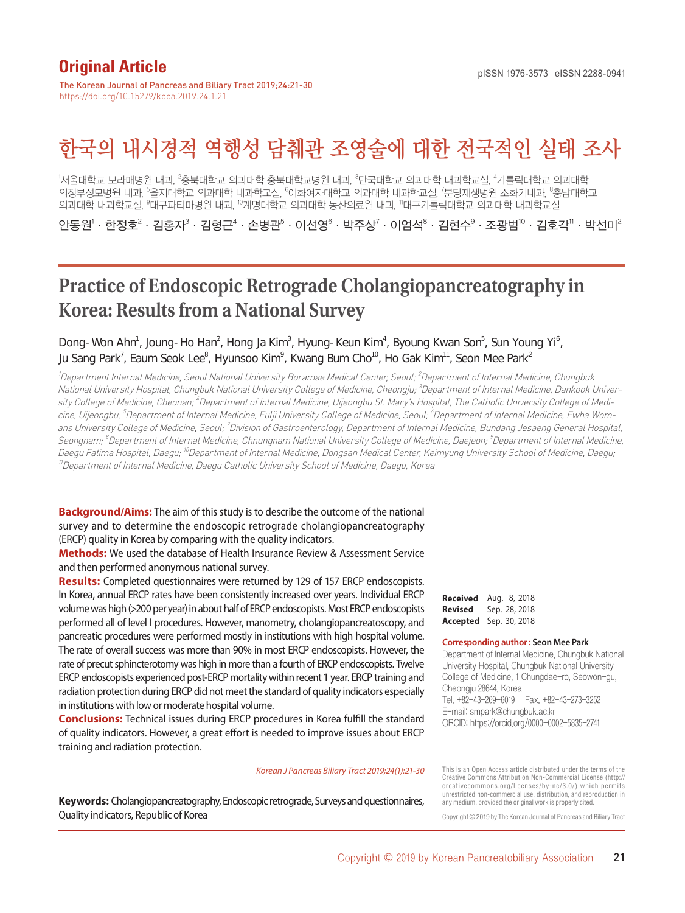## **Original Article**

The Korean Journal of Pancreas and Biliary Tract 2019;24:21-30 https://doi.org/10.15279/kpba.2019.24.1.21

# 한국의 내시경적 역행성 담췌관 조영술에 대한 전국적인 실태 조사

<sup>1</sup>서울대학교 보라매병원 내과, <sup>2</sup>충북대학교 의과대학 충북대학교병원 내과, <sup>3</sup>단국대학교 의과대학 내과학교실, <sup>4</sup>가톨릭대학교 의과대학 의정부성모병원 내과, '을지대학교 미과대학 내과학교실, <sup>6</sup>이화여자대학교 의과대학 내과학교실, <sup>7</sup>분당제생병원 소화기내과, <sup>8</sup>충남대학교 의과대학 내과학교실, <sup>9</sup>대구파티마병원 내과, <sup>10</sup>계명대학교 의과대학 동산의료원 내과, "대구가톨릭대학교 의과대학 내과학교실

안동원 $^{\prime} \cdot$  한정호 $^{\prime} \cdot$  김홍자 $^{\prime} \cdot$  김형근 $^{\prime} \cdot$  손병관 $^{\circ} \cdot$  이선영 $^{\circ} \cdot$  박주상 $^{\prime} \cdot$  이엄석 $^{\circ} \cdot$  김현수 $^{\circ} \cdot$  조광범 $^{\prime\prime} \cdot$  이 낙선미 $^{\prime\prime}$ 

## **Practice of Endoscopic Retrograde Cholangiopancreatography in Korea: Results from a National Survey**

## Dong-Won Ahn<sup>1</sup>, Joung-Ho Han<sup>2</sup>, Hong Ja Kim<sup>3</sup>, Hyung-Keun Kim<sup>4</sup>, Byoung Kwan Son<sup>5</sup>, Sun Young Yi<sup>6</sup>, Ju Sang Park', Eaum Seok Lee $^{\rm s}$ , Hyunsoo Kim $^{\rm s}$ , Kwang Bum Cho $^{\rm lo}$ , Ho Gak Kim $^{\rm l}$ , Seon Mee Park $^{\rm 2}$

<sup>1</sup>Department Internal Medicine, Seoul National University Boramae Medical Center, Seoul; <sup>2</sup>Department of Internal Medicine, Chungbuk National University Hospital, Chungbuk National University College of Medicine, Cheongju; <sup>3</sup>Department of Internal Medicine, Dankook University College of Medicine, Cheonan; <sup>4</sup>Department of Internal Medicine, Uijeongbu St. Mary's Hospital, The Catholic University College of Medicine, Uijeongbu; <sup>5</sup>Department of Internal Medicine, Eulji University College of Medicine, Seoul; <sup>6</sup>Department of Internal Medicine, Ewha Womans University College of Medicine, Seoul; <sup>7</sup>Division of Gastroenterology, Department of Internal Medicine, Bundang Jesaeng General Hospital, Seongnam; <sup>8</sup>Department of Internal Medicine, Chnungnam National University College of Medicine, Daejeon; <sup>9</sup>Department of Internal Medicine, Daegu Fatima Hospital, Daegu; <sup>10</sup>Department of Internal Medicine, Dongsan Medical Center, Keimyung University School of Medicine, Daegu; <sup>11</sup>Department of Internal Medicine, Daegu Catholic University School of Medicine, Daegu, Korea

**Background/Aims:** The aim of this study is to describe the outcome of the national survey and to determine the endoscopic retrograde cholangiopancreatography (ERCP) quality in Korea by comparing with the quality indicators.

**Methods:** We used the database of Health Insurance Review & Assessment Service and then performed anonymous national survey.

**Results:** Completed questionnaires were returned by 129 of 157 ERCP endoscopists. In Korea, annual ERCP rates have been consistently increased over years. Individual ERCP volume was high (>200 per year) in about half of ERCP endoscopists. Most ERCP endoscopists performed all of level I procedures. However, manometry, cholangiopancreatoscopy, and pancreatic procedures were performed mostly in institutions with high hospital volume. The rate of overall success was more than 90% in most ERCP endoscopists. However, the rate of precut sphincterotomy was high in more than a fourth of ERCP endoscopists. Twelve ERCP endoscopists experienced post-ERCP mortality within recent 1 year. ERCP training and radiation protection during ERCP did not meet the standard of quality indicators especially in institutions with low or moderate hospital volume.

**Conclusions:** Technical issues during ERCP procedures in Korea fulfill the standard of quality indicators. However, a great effort is needed to improve issues about ERCP training and radiation protection.

#### *Korean J Pancreas Biliary Tract 2019;24(1):21-30*

**Keywords:** Cholangiopancreatography, Endoscopic retrograde, Surveys and questionnaires, Quality indicators, Republic of Korea

**Received** Aug. 8, 2018 **Revised** Sep. 28, 2018 **Accepted** Sep. 30, 2018

#### **Corresponding author : Seon Mee Park**

Department of Internal Medicine, Chungbuk National University Hospital, Chungbuk National University College of Medicine, 1 Chungdae-ro, Seowon-gu, Cheongju 28644, Korea Tel. +82-43-269-6019 Fax. +82-43-273-3252 E-mail; smpark@chungbuk.ac.kr ORCID: https://orcid.org/0000-0002-5835-2741

This is an Open Access article distributed under the terms of the Creative Commons Attribution Non-Commercial License (http:// creativecommons.org/licenses/by-nc/3.0/) which permits unrestricted non-commercial use, distribution, and reproduction in any medium, provided the original work is properly cited.

Copyright © 2019 by The Korean Journal of Pancreas and Biliary Tract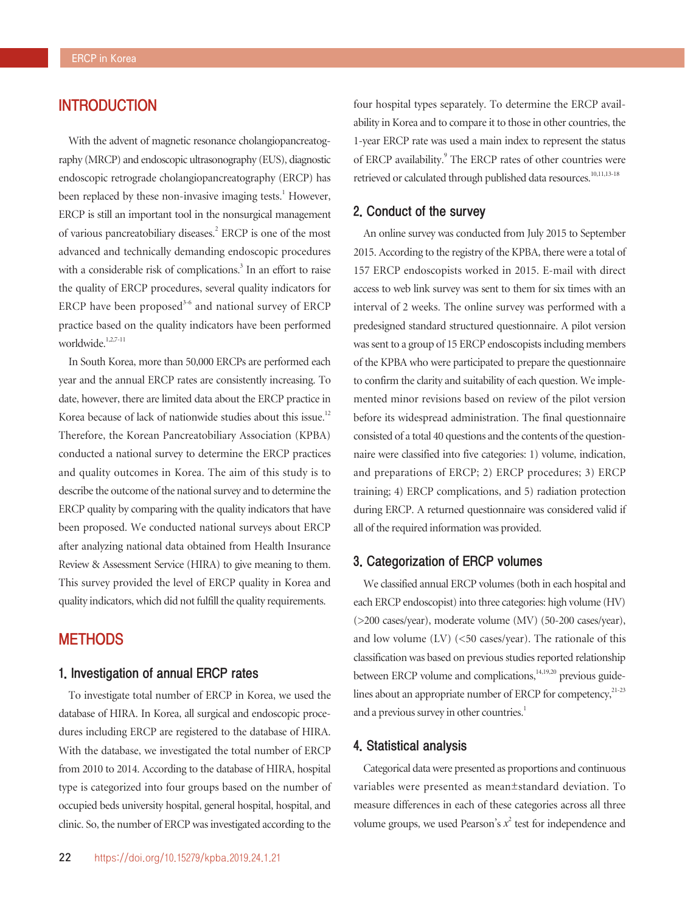## INTRODUCTION

With the advent of magnetic resonance cholangiopancreatography (MRCP) and endoscopic ultrasonography (EUS), diagnostic endoscopic retrograde cholangiopancreatography (ERCP) has been replaced by these non-invasive imaging tests.<sup>1</sup> However, ERCP is still an important tool in the nonsurgical management of various pancreatobiliary diseases.<sup>2</sup> ERCP is one of the most advanced and technically demanding endoscopic procedures with a considerable risk of complications.<sup>3</sup> In an effort to raise the quality of ERCP procedures, several quality indicators for ERCP have been proposed $3-6$  and national survey of ERCP practice based on the quality indicators have been performed worldwide.<sup>1,2,7-11</sup>

In South Korea, more than 50,000 ERCPs are performed each year and the annual ERCP rates are consistently increasing. To date, however, there are limited data about the ERCP practice in Korea because of lack of nationwide studies about this issue.<sup>12</sup> Therefore, the Korean Pancreatobiliary Association (KPBA) conducted a national survey to determine the ERCP practices and quality outcomes in Korea. The aim of this study is to describe the outcome of the national survey and to determine the ERCP quality by comparing with the quality indicators that have been proposed. We conducted national surveys about ERCP after analyzing national data obtained from Health Insurance Review & Assessment Service (HIRA) to give meaning to them. This survey provided the level of ERCP quality in Korea and quality indicators, which did not fulfill the quality requirements.

## **METHODS**

## 1. Investigation of annual ERCP rates

To investigate total number of ERCP in Korea, we used the database of HIRA. In Korea, all surgical and endoscopic procedures including ERCP are registered to the database of HIRA. With the database, we investigated the total number of ERCP from 2010 to 2014. According to the database of HIRA, hospital type is categorized into four groups based on the number of occupied beds university hospital, general hospital, hospital, and clinic. So, the number of ERCP was investigated according to the

four hospital types separately. To determine the ERCP availability in Korea and to compare it to those in other countries, the 1-year ERCP rate was used a main index to represent the status of ERCP availability.<sup>9</sup> The ERCP rates of other countries were retrieved or calculated through published data resources.<sup>10,11,13-18</sup>

#### 2. Conduct of the survey

An online survey was conducted from July 2015 to September 2015. According to the registry of the KPBA, there were a total of 157 ERCP endoscopists worked in 2015. E-mail with direct access to web link survey was sent to them for six times with an interval of 2 weeks. The online survey was performed with a predesigned standard structured questionnaire. A pilot version was sent to a group of 15 ERCP endoscopists including members of the KPBA who were participated to prepare the questionnaire to confirm the clarity and suitability of each question. We implemented minor revisions based on review of the pilot version before its widespread administration. The final questionnaire consisted of a total 40 questions and the contents of the questionnaire were classified into five categories: 1) volume, indication, and preparations of ERCP; 2) ERCP procedures; 3) ERCP training; 4) ERCP complications, and 5) radiation protection during ERCP. A returned questionnaire was considered valid if all of the required information was provided.

## 3. Categorization of ERCP volumes

We classified annual ERCP volumes (both in each hospital and each ERCP endoscopist) into three categories: high volume (HV) (>200 cases/year), moderate volume (MV) (50-200 cases/year), and low volume (LV) (<50 cases/year). The rationale of this classification was based on previous studies reported relationship between ERCP volume and complications, $14,19,20$  previous guidelines about an appropriate number of ERCP for competency,<sup>21-23</sup> and a previous survey in other countries.<sup>1</sup>

#### 4. Statistical analysis

Categorical data were presented as proportions and continuous variables were presented as mean±standard deviation. To measure differences in each of these categories across all three volume groups, we used Pearson's  $x^2$  test for independence and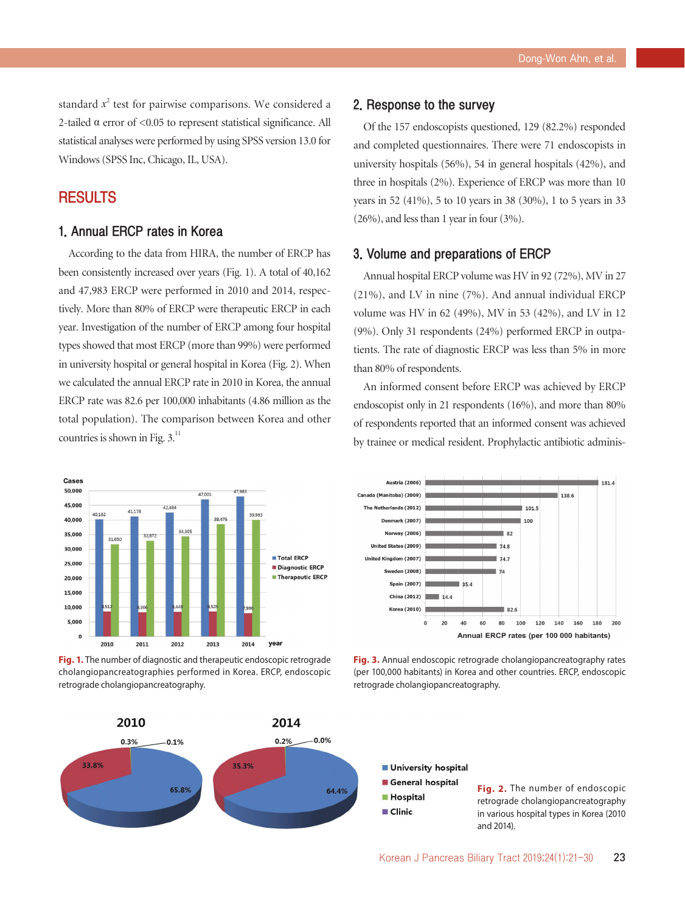standard  $x^2$  test for pairwise comparisons. We considered a 2-tailed  $\alpha$  error of <0.05 to represent statistical significance. All statistical analyses were performed by using SPSS version 13.0 for Windows (SPSS Inc, Chicago, IL, USA).

## **RESULTS**

## 1. Annual ERCP rates in Korea

According to the data from HIRA, the number of ERCP has been consistently increased over years (Fig. 1). A total of 40,162 and 47,983 ERCP were performed in 2010 and 2014, respectively. More than 80% of ERCP were therapeutic ERCP in each year. Investigation of the number of ERCP among four hospital types showed that most ERCP (more than 99%) were performed in university hospital or general hospital in Korea (Fig. 2). When we calculated the annual ERCP rate in 2010 in Korea, the annual ERCP rate was 82.6 per 100,000 inhabitants (4.86 million as the total population). The comparison between Korea and other countries is shown in Fig. 3.<sup>11</sup>



**Fig. 1.** The number of diagnostic and therapeutic endoscopic retrograde cholangiopancreatographies performed in Korea. ERCP, endoscopic retrograde cholangiopancreatography.



#### 2. Response to the survey

Of the 157 endoscopists questioned, 129 (82.2%) responded and completed questionnaires. There were 71 endoscopists in university hospitals (56%), 54 in general hospitals (42%), and three in hospitals (2%). Experience of ERCP was more than 10 years in 52 (41%), 5 to 10 years in 38 (30%), 1 to 5 years in 33 (26%), and less than 1 year in four (3%).

## 3. Volume and preparations of ERCP

Annual hospital ERCP volume was HV in 92 (72%), MV in 27 (21%), and LV in nine (7%). And annual individual ERCP volume was HV in 62 (49%), MV in 53 (42%), and LV in 12 (9%). Only 31 respondents (24%) performed ERCP in outpatients. The rate of diagnostic ERCP was less than 5% in more than 80% of respondents.

An informed consent before ERCP was achieved by ERCP endoscopist only in 21 respondents (16%), and more than 80% of respondents reported that an informed consent was achieved by trainee or medical resident. Prophylactic antibiotic adminis-



**Fig. 3.** Annual endoscopic retrograde cholangiopancreatography rates (per 100,000 habitants) in Korea and other countries. ERCP, endoscopic retrograde cholangiopancreatography.

## University hospital

- General hospital
- **Hospital**
- $\blacksquare$  Clinic

**Fig. 2.** The number of endoscopic retrograde cholangiopancreatography in various hospital types in Korea (2010 and 2014).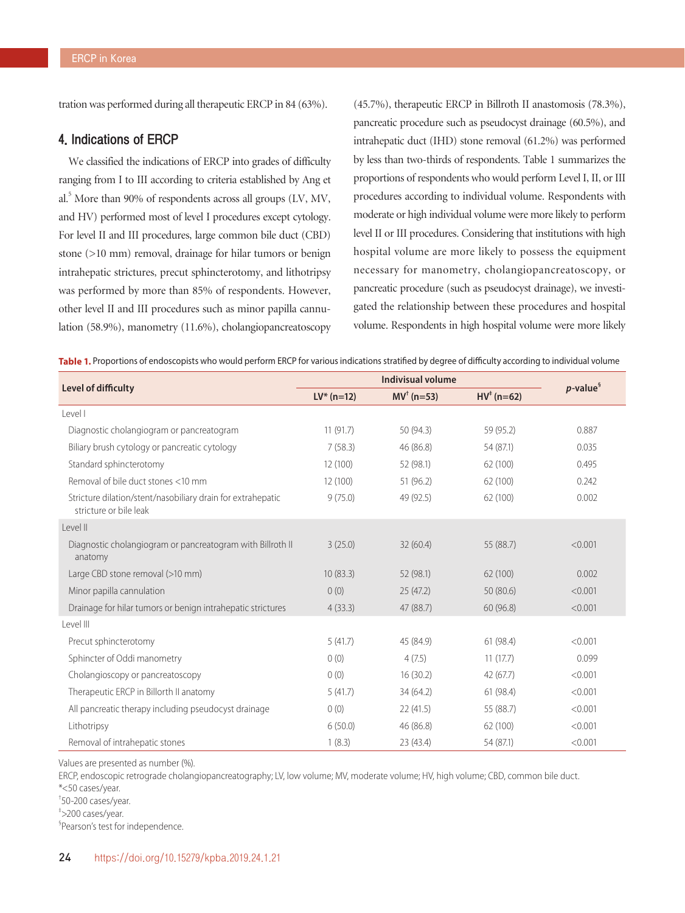tration was performed during all therapeutic ERCP in 84 (63%).

## 4. Indications of ERCP

We classified the indications of ERCP into grades of difficulty ranging from I to III according to criteria established by Ang et al.<sup>5</sup> More than 90% of respondents across all groups (LV, MV, and HV) performed most of level I procedures except cytology. For level II and III procedures, large common bile duct (CBD) stone (>10 mm) removal, drainage for hilar tumors or benign intrahepatic strictures, precut sphincterotomy, and lithotripsy was performed by more than 85% of respondents. However, other level II and III procedures such as minor papilla cannulation (58.9%), manometry (11.6%), cholangiopancreatoscopy

(45.7%), therapeutic ERCP in Billroth II anastomosis (78.3%), pancreatic procedure such as pseudocyst drainage (60.5%), and intrahepatic duct (IHD) stone removal (61.2%) was performed by less than two-thirds of respondents. Table 1 summarizes the proportions of respondents who would perform Level I, II, or III procedures according to individual volume. Respondents with moderate or high individual volume were more likely to perform level II or III procedures. Considering that institutions with high hospital volume are more likely to possess the equipment necessary for manometry, cholangiopancreatoscopy, or pancreatic procedure (such as pseudocyst drainage), we investigated the relationship between these procedures and hospital volume. Respondents in high hospital volume were more likely

Table 1. Proportions of endoscopists who would perform ERCP for various indications stratified by degree of difficulty according to individual volume

| Level of difficulty                                                                   | $LV^*(n=12)$ | $MV† (n=53)$ | $HV^*(n=62)$ | $p$ -value $\frac{5}{3}$ |  |
|---------------------------------------------------------------------------------------|--------------|--------------|--------------|--------------------------|--|
| Level I                                                                               |              |              |              |                          |  |
| Diagnostic cholangiogram or pancreatogram                                             | 11(91.7)     | 50 (94.3)    | 59 (95.2)    | 0.887                    |  |
| Biliary brush cytology or pancreatic cytology                                         | 7(58.3)      | 46 (86.8)    | 54 (87.1)    | 0.035                    |  |
| Standard sphincterotomy                                                               | 12 (100)     | 52 (98.1)    | 62 (100)     | 0.495                    |  |
| Removal of bile duct stones <10 mm                                                    | 12(100)      | 51 (96.2)    | 62 (100)     | 0.242                    |  |
| Stricture dilation/stent/nasobiliary drain for extrahepatic<br>stricture or bile leak | 9(75.0)      | 49 (92.5)    | 62 (100)     | 0.002                    |  |
| Level II                                                                              |              |              |              |                          |  |
| Diagnostic cholangiogram or pancreatogram with Billroth II<br>anatomy                 | 3(25.0)      | 32(60.4)     | 55 (88.7)    | < 0.001                  |  |
| Large CBD stone removal (>10 mm)                                                      | 10(83.3)     | 52 (98.1)    | 62 (100)     | 0.002                    |  |
| Minor papilla cannulation                                                             | 0(0)         | 25(47.2)     | 50(80.6)     | < 0.001                  |  |
| Drainage for hilar tumors or benign intrahepatic strictures                           | 4(33.3)      | 47 (88.7)    | 60(96.8)     | < 0.001                  |  |
| Level III                                                                             |              |              |              |                          |  |
| Precut sphincterotomy                                                                 | 5(41.7)      | 45 (84.9)    | 61 (98.4)    | < 0.001                  |  |
| Sphincter of Oddi manometry                                                           | 0(0)         | 4(7.5)       | 11(17.7)     | 0.099                    |  |
| Cholangioscopy or pancreatoscopy                                                      | 0(0)         | 16(30.2)     | 42 (67.7)    | < 0.001                  |  |
| Therapeutic ERCP in Billorth II anatomy                                               | 5(41.7)      | 34 (64.2)    | 61 (98.4)    | < 0.001                  |  |
| All pancreatic therapy including pseudocyst drainage                                  | 0(0)         | 22 (41.5)    | 55 (88.7)    | < 0.001                  |  |
| Lithotripsy                                                                           | 6(50.0)      | 46 (86.8)    | 62 (100)     | < 0.001                  |  |
| Removal of intrahepatic stones                                                        | 1(8.3)       | 23 (43.4)    | 54 (87.1)    | < 0.001                  |  |

Values are presented as number (%).

ERCP, endoscopic retrograde cholangiopancreatography; LV, low volume; MV, moderate volume; HV, high volume; CBD, common bile duct. \*<50 cases/year.

† 50-200 cases/year.

‡ >200 cases/year.

§ Pearson's test for independence.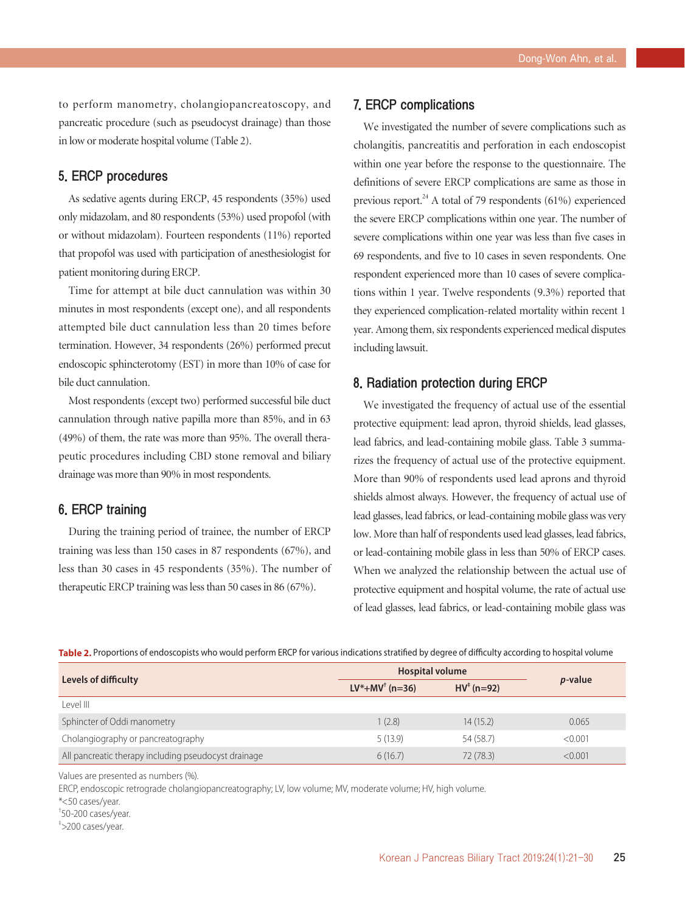to perform manometry, cholangiopancreatoscopy, and pancreatic procedure (such as pseudocyst drainage) than those in low or moderate hospital volume (Table 2).

## 5. ERCP procedures

As sedative agents during ERCP, 45 respondents (35%) used only midazolam, and 80 respondents (53%) used propofol (with or without midazolam). Fourteen respondents (11%) reported that propofol was used with participation of anesthesiologist for patient monitoring during ERCP.

Time for attempt at bile duct cannulation was within 30 minutes in most respondents (except one), and all respondents attempted bile duct cannulation less than 20 times before termination. However, 34 respondents (26%) performed precut endoscopic sphincterotomy (EST) in more than 10% of case for bile duct cannulation.

Most respondents (except two) performed successful bile duct cannulation through native papilla more than 85%, and in 63 (49%) of them, the rate was more than 95%. The overall therapeutic procedures including CBD stone removal and biliary drainage was more than 90% in most respondents.

## 6. ERCP training

During the training period of trainee, the number of ERCP training was less than 150 cases in 87 respondents (67%), and less than 30 cases in 45 respondents (35%). The number of therapeutic ERCP training was less than 50 cases in 86 (67%).

## 7. ERCP complications

We investigated the number of severe complications such as cholangitis, pancreatitis and perforation in each endoscopist within one year before the response to the questionnaire. The definitions of severe ERCP complications are same as those in previous report. $^{24}$  A total of 79 respondents (61%) experienced the severe ERCP complications within one year. The number of severe complications within one year was less than five cases in 69 respondents, and five to 10 cases in seven respondents. One respondent experienced more than 10 cases of severe complications within 1 year. Twelve respondents (9.3%) reported that they experienced complication-related mortality within recent 1 year. Among them, six respondents experienced medical disputes including lawsuit.

## 8. Radiation protection during ERCP

We investigated the frequency of actual use of the essential protective equipment: lead apron, thyroid shields, lead glasses, lead fabrics, and lead-containing mobile glass. Table 3 summarizes the frequency of actual use of the protective equipment. More than 90% of respondents used lead aprons and thyroid shields almost always. However, the frequency of actual use of lead glasses, lead fabrics, or lead-containing mobile glass was very low. More than half of respondents used lead glasses, lead fabrics, or lead-containing mobile glass in less than 50% of ERCP cases. When we analyzed the relationship between the actual use of protective equipment and hospital volume, the rate of actual use of lead glasses, lead fabrics, or lead-containing mobile glass was

Table 2. Proportions of endoscopists who would perform ERCP for various indications stratified by degree of difficulty according to hospital volume

|                                                      | <b>Hospital volume</b>     |                       |                 |
|------------------------------------------------------|----------------------------|-----------------------|-----------------|
| Levels of difficulty                                 | $LV^*+MV^{\dagger}$ (n=36) | $HV^{\dagger}$ (n=92) | <i>p</i> -value |
| Level III                                            |                            |                       |                 |
| Sphincter of Oddi manometry                          | 1(2.8)                     | 14(15.2)              | 0.065           |
| Cholangiography or pancreatography                   | 5(13.9)                    | 54 (58.7)             | < 0.001         |
| All pancreatic therapy including pseudocyst drainage | 6(16.7)                    | 72 (78.3)             | < 0.001         |

Values are presented as numbers (%).

ERCP, endoscopic retrograde cholangiopancreatography; LV, low volume; MV, moderate volume; HV, high volume.

\*<50 cases/year.

† 50-200 cases/year.

‡ >200 cases/year.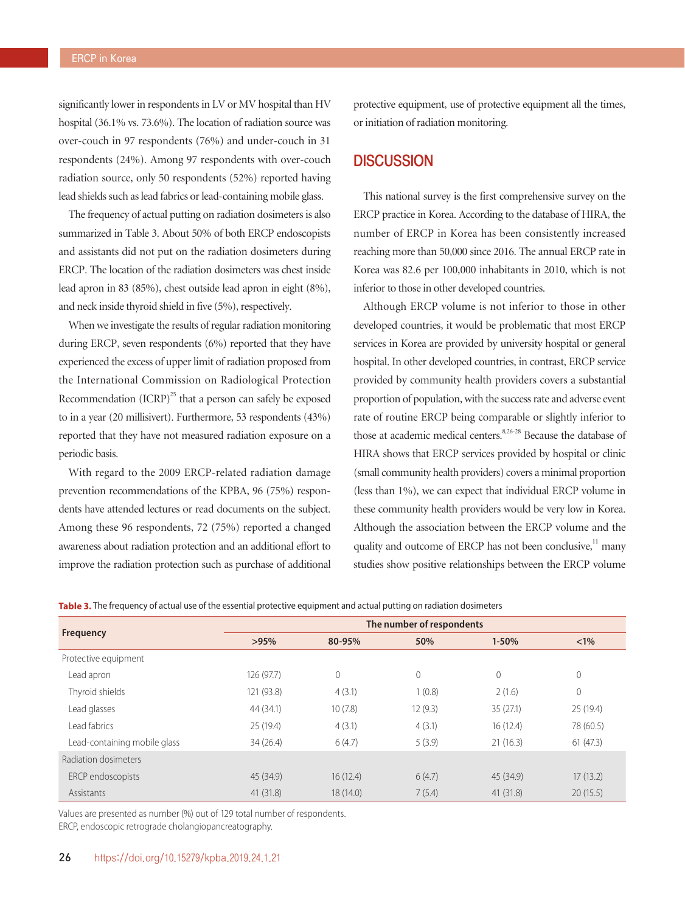significantly lower in respondents in LV or MV hospital than HV hospital (36.1% vs. 73.6%). The location of radiation source was over-couch in 97 respondents (76%) and under-couch in 31 respondents (24%). Among 97 respondents with over-couch radiation source, only 50 respondents (52%) reported having lead shields such as lead fabrics or lead-containing mobile glass.

The frequency of actual putting on radiation dosimeters is also summarized in Table 3. About 50% of both ERCP endoscopists and assistants did not put on the radiation dosimeters during ERCP. The location of the radiation dosimeters was chest inside lead apron in 83 (85%), chest outside lead apron in eight (8%), and neck inside thyroid shield in five (5%), respectively.

When we investigate the results of regular radiation monitoring during ERCP, seven respondents (6%) reported that they have experienced the excess of upper limit of radiation proposed from the International Commission on Radiological Protection Recommendation  $(ICRP)^{25}$  that a person can safely be exposed to in a year (20 millisivert). Furthermore, 53 respondents (43%) reported that they have not measured radiation exposure on a periodic basis.

With regard to the 2009 ERCP-related radiation damage prevention recommendations of the KPBA, 96 (75%) respondents have attended lectures or read documents on the subject. Among these 96 respondents, 72 (75%) reported a changed awareness about radiation protection and an additional effort to improve the radiation protection such as purchase of additional protective equipment, use of protective equipment all the times, or initiation of radiation monitoring.

## **DISCUSSION**

This national survey is the first comprehensive survey on the ERCP practice in Korea. According to the database of HIRA, the number of ERCP in Korea has been consistently increased reaching more than 50,000 since 2016. The annual ERCP rate in Korea was 82.6 per 100,000 inhabitants in 2010, which is not inferior to those in other developed countries.

Although ERCP volume is not inferior to those in other developed countries, it would be problematic that most ERCP services in Korea are provided by university hospital or general hospital. In other developed countries, in contrast, ERCP service provided by community health providers covers a substantial proportion of population, with the success rate and adverse event rate of routine ERCP being comparable or slightly inferior to those at academic medical centers.<sup>8,26-28</sup> Because the database of HIRA shows that ERCP services provided by hospital or clinic (small community health providers) covers a minimal proportion (less than 1%), we can expect that individual ERCP volume in these community health providers would be very low in Korea. Although the association between the ERCP volume and the quality and outcome of ERCP has not been conclusive, $11$  many studies show positive relationships between the ERCP volume

| Table 3. The frequency of actual use of the essential protective equipment and actual putting on radiation dosimeters |
|-----------------------------------------------------------------------------------------------------------------------|
|                                                                                                                       |

| <b>Frequency</b>             | The number of respondents |          |         |                |                |  |
|------------------------------|---------------------------|----------|---------|----------------|----------------|--|
|                              | >95%                      | 80-95%   | 50%     | $1 - 50%$      | $< 1\%$        |  |
| Protective equipment         |                           |          |         |                |                |  |
| Lead apron                   | 126 (97.7)                | 0        | 0       | $\overline{0}$ | $\overline{0}$ |  |
| Thyroid shields              | 121 (93.8)                | 4(3.1)   | 1(0.8)  | 2(1.6)         | $\overline{0}$ |  |
| Lead glasses                 | 44 (34.1)                 | 10(7.8)  | 12(9.3) | 35(27.1)       | 25 (19.4)      |  |
| l ead fabrics                | 25 (19.4)                 | 4(3.1)   | 4(3.1)  | 16(12.4)       | 78 (60.5)      |  |
| Lead-containing mobile glass | 34(26.4)                  | 6(4.7)   | 5(3.9)  | 21(16.3)       | 61(47.3)       |  |
| Radiation dosimeters         |                           |          |         |                |                |  |
| ERCP endoscopists            | 45 (34.9)                 | 16(12.4) | 6(4.7)  | 45 (34.9)      | 17(13.2)       |  |
| Assistants                   | 41(31.8)                  | 18(14.0) | 7(5.4)  | 41(31.8)       | 20(15.5)       |  |

Values are presented as number (%) out of 129 total number of respondents.

ERCP, endoscopic retrograde cholangiopancreatography.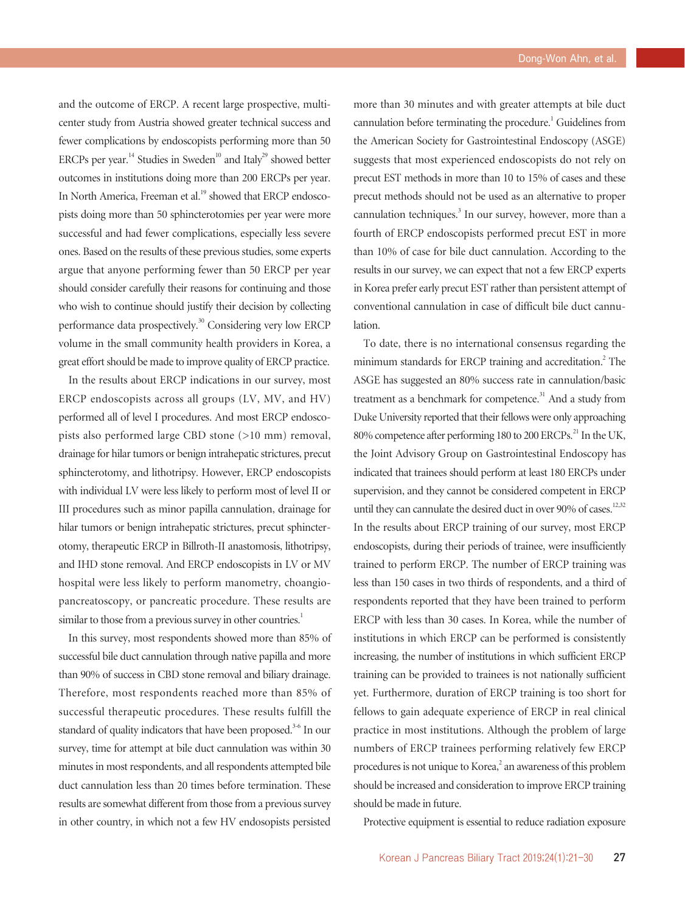and the outcome of ERCP. A recent large prospective, multicenter study from Austria showed greater technical success and fewer complications by endoscopists performing more than 50 ERCPs per year.<sup>14</sup> Studies in Sweden<sup>10</sup> and Italy<sup>29</sup> showed better outcomes in institutions doing more than 200 ERCPs per year. In North America, Freeman et al.<sup>19</sup> showed that ERCP endoscopists doing more than 50 sphincterotomies per year were more successful and had fewer complications, especially less severe ones. Based on the results of these previous studies, some experts argue that anyone performing fewer than 50 ERCP per year should consider carefully their reasons for continuing and those who wish to continue should justify their decision by collecting performance data prospectively.<sup>30</sup> Considering very low ERCP volume in the small community health providers in Korea, a great effort should be made to improve quality of ERCP practice.

In the results about ERCP indications in our survey, most ERCP endoscopists across all groups (LV, MV, and HV) performed all of level I procedures. And most ERCP endoscopists also performed large CBD stone (>10 mm) removal, drainage for hilar tumors or benign intrahepatic strictures, precut sphincterotomy, and lithotripsy. However, ERCP endoscopists with individual LV were less likely to perform most of level II or III procedures such as minor papilla cannulation, drainage for hilar tumors or benign intrahepatic strictures, precut sphincterotomy, therapeutic ERCP in Billroth-II anastomosis, lithotripsy, and IHD stone removal. And ERCP endoscopists in LV or MV hospital were less likely to perform manometry, choangiopancreatoscopy, or pancreatic procedure. These results are similar to those from a previous survey in other countries.<sup>1</sup>

In this survey, most respondents showed more than 85% of successful bile duct cannulation through native papilla and more than 90% of success in CBD stone removal and biliary drainage. Therefore, most respondents reached more than 85% of successful therapeutic procedures. These results fulfill the standard of quality indicators that have been proposed.<sup>3-6</sup> In our survey, time for attempt at bile duct cannulation was within 30 minutes in most respondents, and all respondents attempted bile duct cannulation less than 20 times before termination. These results are somewhat different from those from a previous survey in other country, in which not a few HV endosopists persisted

more than 30 minutes and with greater attempts at bile duct cannulation before terminating the procedure.<sup>1</sup> Guidelines from the American Society for Gastrointestinal Endoscopy (ASGE) suggests that most experienced endoscopists do not rely on precut EST methods in more than 10 to 15% of cases and these precut methods should not be used as an alternative to proper cannulation techniques.<sup>3</sup> In our survey, however, more than a fourth of ERCP endoscopists performed precut EST in more than 10% of case for bile duct cannulation. According to the results in our survey, we can expect that not a few ERCP experts in Korea prefer early precut EST rather than persistent attempt of conventional cannulation in case of difficult bile duct cannulation.

To date, there is no international consensus regarding the minimum standards for ERCP training and accreditation.<sup>2</sup> The ASGE has suggested an 80% success rate in cannulation/basic treatment as a benchmark for competence.<sup>31</sup> And a study from Duke University reported that their fellows were only approaching 80% competence after performing 180 to 200 ERCPs.<sup>21</sup> In the UK, the Joint Advisory Group on Gastrointestinal Endoscopy has indicated that trainees should perform at least 180 ERCPs under supervision, and they cannot be considered competent in ERCP until they can cannulate the desired duct in over 90% of cases.<sup>12,32</sup> In the results about ERCP training of our survey, most ERCP endoscopists, during their periods of trainee, were insufficiently trained to perform ERCP. The number of ERCP training was less than 150 cases in two thirds of respondents, and a third of respondents reported that they have been trained to perform ERCP with less than 30 cases. In Korea, while the number of institutions in which ERCP can be performed is consistently increasing, the number of institutions in which sufficient ERCP training can be provided to trainees is not nationally sufficient yet. Furthermore, duration of ERCP training is too short for fellows to gain adequate experience of ERCP in real clinical practice in most institutions. Although the problem of large numbers of ERCP trainees performing relatively few ERCP procedures is not unique to Korea,<sup>2</sup> an awareness of this problem should be increased and consideration to improve ERCP training should be made in future.

Protective equipment is essential to reduce radiation exposure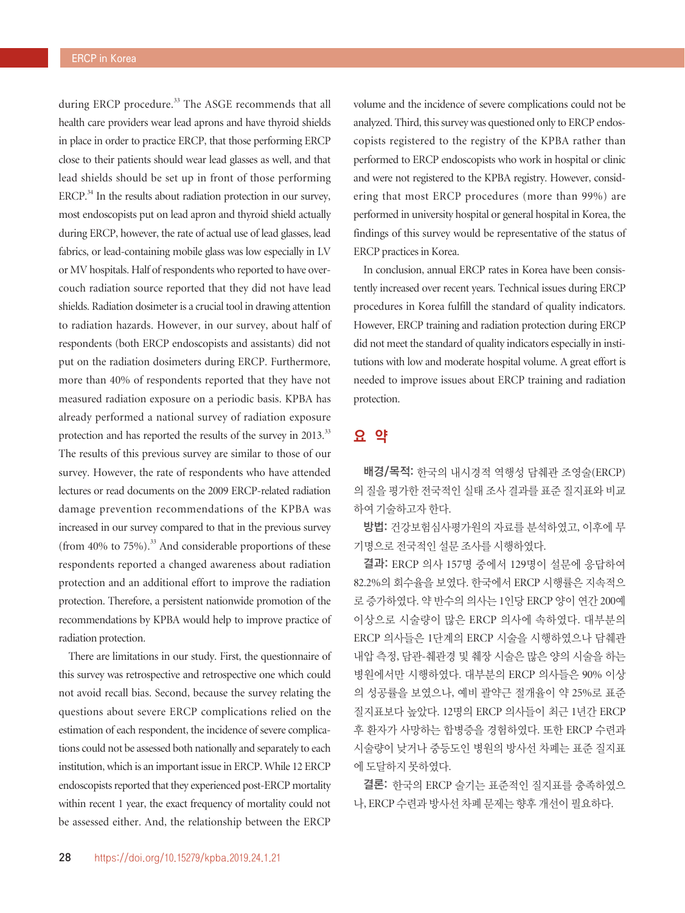during ERCP procedure.<sup>33</sup> The ASGE recommends that all health care providers wear lead aprons and have thyroid shields in place in order to practice ERCP, that those performing ERCP close to their patients should wear lead glasses as well, and that lead shields should be set up in front of those performing ERCP. $34$  In the results about radiation protection in our survey, most endoscopists put on lead apron and thyroid shield actually during ERCP, however, the rate of actual use of lead glasses, lead fabrics, or lead-containing mobile glass was low especially in LV or MV hospitals. Half of respondents who reported to have overcouch radiation source reported that they did not have lead shields. Radiation dosimeter is a crucial tool in drawing attention to radiation hazards. However, in our survey, about half of respondents (both ERCP endoscopists and assistants) did not put on the radiation dosimeters during ERCP. Furthermore, more than 40% of respondents reported that they have not measured radiation exposure on a periodic basis. KPBA has already performed a national survey of radiation exposure protection and has reported the results of the survey in 2013.<sup>33</sup> The results of this previous survey are similar to those of our survey. However, the rate of respondents who have attended lectures or read documents on the 2009 ERCP-related radiation damage prevention recommendations of the KPBA was increased in our survey compared to that in the previous survey (from 40% to  $75\%$ ).<sup>33</sup> And considerable proportions of these respondents reported a changed awareness about radiation protection and an additional effort to improve the radiation protection. Therefore, a persistent nationwide promotion of the recommendations by KPBA would help to improve practice of radiation protection.

There are limitations in our study. First, the questionnaire of this survey was retrospective and retrospective one which could not avoid recall bias. Second, because the survey relating the questions about severe ERCP complications relied on the estimation of each respondent, the incidence of severe complications could not be assessed both nationally and separately to each institution, which is an important issue in ERCP. While 12 ERCP endoscopists reported that they experienced post-ERCP mortality within recent 1 year, the exact frequency of mortality could not be assessed either. And, the relationship between the ERCP

volume and the incidence of severe complications could not be analyzed. Third, this survey was questioned only to ERCP endoscopists registered to the registry of the KPBA rather than performed to ERCP endoscopists who work in hospital or clinic and were not registered to the KPBA registry. However, considering that most ERCP procedures (more than 99%) are performed in university hospital or general hospital in Korea, the findings of this survey would be representative of the status of ERCP practices in Korea.

In conclusion, annual ERCP rates in Korea have been consistently increased over recent years. Technical issues during ERCP procedures in Korea fulfill the standard of quality indicators. However, ERCP training and radiation protection during ERCP did not meet the standard of quality indicators especially in institutions with low and moderate hospital volume. A great effort is needed to improve issues about ERCP training and radiation protection.

## 요 약

배경/목적: 한국의 내시경적 역행성 담췌관 조영술(ERCP) 의 질을 평가한 전국적인 실태 조사 결과를 표준 질지표와 비교 하여 기술하고자 한다.

방법: 건강보험심사평가원의 자료를 분석하였고, 이후에 무 기명으로 전국적인 설문 조사를 시행하였다.

결과: ERCP 의사 157명 중에서 129명이 설문에 응답하여 82.2%의 회수율을 보였다. 한국에서 ERCP 시행률은 지속적으 로 증가하였다. 약 반수의 의사는 1인당 ERCP 양이 연간 200예 이상으로 시술량이 많은 ERCP 의사에 속하였다. 대부분의 ERCP 의사들은 1단계의 ERCP 시술을 시행하였으나 담췌관 내압 측정, 담관-췌관경 및 췌장 시술은 많은 양의 시술을 하는 병원에서만 시행하였다. 대부분의 ERCP 의사들은 90% 이상 의 성공률을 보였으나, 예비 괄약근 절개율이 약 25%로 표준 질지표보다 높았다. 12명의 ERCP 의사들이 최근 1년간 ERCP 후 환자가 사망하는 합병증을 경험하였다. 또한 ERCP 수련과 시술량이 낮거나 중등도인 병원의 방사선 차폐는 표준 질지표 에 도달하지 못하였다.

결론: 한국의 ERCP 술기는 표준적인 질지표를 충족하였으 나, ERCP 수련과 방사선 차폐 문제는 향후 개선이 필요하다.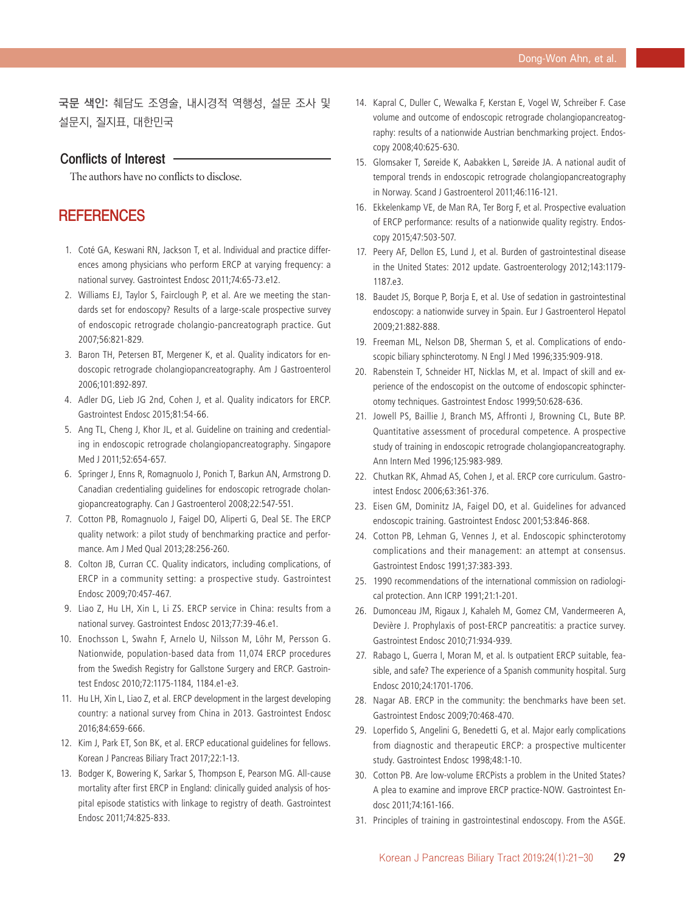국문 색인: 췌담도 조영술, 내시경적 역행성, 설문 조사 및 설문지, 질지표, 대한민국

## Conflicts of Interest

The authors have no conflicts to disclose.

## **REFERENCES**

- 1. Coté GA, Keswani RN, Jackson T, et al. Individual and practice differences among physicians who perform ERCP at varying frequency: a national survey. Gastrointest Endosc 2011;74:65-73.e12.
- 2. Williams EJ, Taylor S, Fairclough P, et al. Are we meeting the standards set for endoscopy? Results of a large-scale prospective survey of endoscopic retrograde cholangio-pancreatograph practice. Gut 2007;56:821-829.
- 3. Baron TH, Petersen BT, Mergener K, et al. Quality indicators for endoscopic retrograde cholangiopancreatography. Am J Gastroenterol 2006;101:892-897.
- 4. Adler DG, Lieb JG 2nd, Cohen J, et al. Quality indicators for ERCP. Gastrointest Endosc 2015;81:54-66.
- 5. Ang TL, Cheng J, Khor JL, et al. Guideline on training and credentialing in endoscopic retrograde cholangiopancreatography. Singapore Med J 2011;52:654-657.
- 6. Springer J, Enns R, Romagnuolo J, Ponich T, Barkun AN, Armstrong D. Canadian credentialing guidelines for endoscopic retrograde cholangiopancreatography. Can J Gastroenterol 2008;22:547-551.
- 7. Cotton PB, Romagnuolo J, Faigel DO, Aliperti G, Deal SE. The ERCP quality network: a pilot study of benchmarking practice and performance. Am J Med Qual 2013;28:256-260.
- 8. Colton JB, Curran CC. Quality indicators, including complications, of ERCP in a community setting: a prospective study. Gastrointest Endosc 2009;70:457-467.
- 9. Liao Z, Hu LH, Xin L, Li ZS. ERCP service in China: results from a national survey. Gastrointest Endosc 2013;77:39-46.e1.
- 10. Enochsson L, Swahn F, Arnelo U, Nilsson M, Löhr M, Persson G. Nationwide, population-based data from 11,074 ERCP procedures from the Swedish Registry for Gallstone Surgery and ERCP. Gastrointest Endosc 2010;72:1175-1184, 1184.e1-e3.
- 11. Hu LH, Xin L, Liao Z, et al. ERCP development in the largest developing country: a national survey from China in 2013. Gastrointest Endosc 2016;84:659-666.
- 12. Kim J, Park ET, Son BK, et al. ERCP educational guidelines for fellows. Korean J Pancreas Biliary Tract 2017;22:1-13.
- 13. Bodger K, Bowering K, Sarkar S, Thompson E, Pearson MG. All-cause mortality after first ERCP in England: clinically guided analysis of hospital episode statistics with linkage to registry of death. Gastrointest Endosc 2011;74:825-833.
- 14. Kapral C, Duller C, Wewalka F, Kerstan E, Vogel W, Schreiber F. Case volume and outcome of endoscopic retrograde cholangiopancreatography: results of a nationwide Austrian benchmarking project. Endoscopy 2008;40:625-630.
- 15. Glomsaker T, Søreide K, Aabakken L, Søreide JA. A national audit of temporal trends in endoscopic retrograde cholangiopancreatography in Norway. Scand J Gastroenterol 2011;46:116-121.
- 16. Ekkelenkamp VE, de Man RA, Ter Borg F, et al. Prospective evaluation of ERCP performance: results of a nationwide quality registry. Endoscopy 2015;47:503-507.
- 17. Peery AF, Dellon ES, Lund J, et al. Burden of gastrointestinal disease in the United States: 2012 update. Gastroenterology 2012;143:1179- 1187.e3.
- 18. Baudet JS, Borque P, Borja E, et al. Use of sedation in gastrointestinal endoscopy: a nationwide survey in Spain. Eur J Gastroenterol Hepatol 2009;21:882-888.
- 19. Freeman ML, Nelson DB, Sherman S, et al. Complications of endoscopic biliary sphincterotomy. N Engl J Med 1996;335:909-918.
- 20. Rabenstein T, Schneider HT, Nicklas M, et al. Impact of skill and experience of the endoscopist on the outcome of endoscopic sphincterotomy techniques. Gastrointest Endosc 1999;50:628-636.
- 21. Jowell PS, Baillie J, Branch MS, Affronti J, Browning CL, Bute BP. Quantitative assessment of procedural competence. A prospective study of training in endoscopic retrograde cholangiopancreatography. Ann Intern Med 1996;125:983-989.
- 22. Chutkan RK, Ahmad AS, Cohen J, et al. ERCP core curriculum. Gastrointest Endosc 2006;63:361-376.
- 23. Eisen GM, Dominitz JA, Faigel DO, et al. Guidelines for advanced endoscopic training. Gastrointest Endosc 2001;53:846-868.
- 24. Cotton PB, Lehman G, Vennes J, et al. Endoscopic sphincterotomy complications and their management: an attempt at consensus. Gastrointest Endosc 1991;37:383-393.
- 25. 1990 recommendations of the international commission on radiological protection. Ann ICRP 1991;21:1-201.
- 26. Dumonceau JM, Rigaux J, Kahaleh M, Gomez CM, Vandermeeren A, Devière J. Prophylaxis of post-ERCP pancreatitis: a practice survey. Gastrointest Endosc 2010;71:934-939.
- 27. Rabago L, Guerra I, Moran M, et al. Is outpatient ERCP suitable, feasible, and safe? The experience of a Spanish community hospital. Surg Endosc 2010;24:1701-1706.
- 28. Nagar AB. ERCP in the community: the benchmarks have been set. Gastrointest Endosc 2009;70:468-470.
- 29. Loperfido S, Angelini G, Benedetti G, et al. Major early complications from diagnostic and therapeutic ERCP: a prospective multicenter study. Gastrointest Endosc 1998;48:1-10.
- 30. Cotton PB. Are low-volume ERCPists a problem in the United States? A plea to examine and improve ERCP practice-NOW. Gastrointest Endosc 2011;74:161-166.
- 31. Principles of training in gastrointestinal endoscopy. From the ASGE.